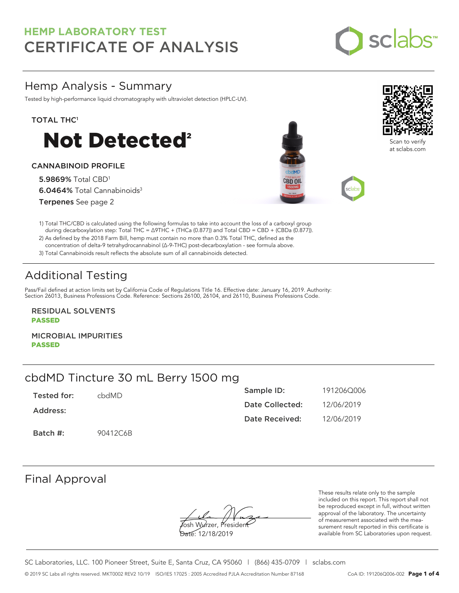

## Hemp Analysis - Summary

Tested by high-performance liquid chromatography with ultraviolet detection (HPLC-UV).

### TOTAL THC<sup>1</sup>



### CANNABINOID PROFILE

5.9869% Total CBD<sup>1</sup> 6.0464% Total Cannabinoids<sup>3</sup> Terpenes See page 2





Scan to verify at sclabs.com

1) Total THC/CBD is calculated using the following formulas to take into account the loss of a carboxyl group during decarboxylation step: Total THC = ∆9THC + (THCa (0.877)) and Total CBD = CBD + (CBDa (0.877)).

2) As defined by the 2018 Farm Bill, hemp must contain no more than 0.3% Total THC, defined as the concentration of delta-9 tetrahydrocannabinol (Δ-9-THC) post-decarboxylation - see formula above.

3) Total Cannabinoids result reflects the absolute sum of all cannabinoids detected.

# Additional Testing

Pass/Fail defined at action limits set by California Code of Regulations Title 16. Effective date: January 16, 2019. Authority: Section 26013, Business Professions Code. Reference: Sections 26100, 26104, and 26110, Business Professions Code.

RESIDUAL SOLVENTS PASSED

MICROBIAL IMPURITIES PASSED

## cbdMD Tincture 30 mL Berry 1500 mg

| Tested for: | chdMD.   | Sample ID:      | 191206Q006 |
|-------------|----------|-----------------|------------|
| Address:    |          | Date Collected: | 12/06/2019 |
|             |          | Date Received:  | 12/06/2019 |
| Batch #:    | 90412C6B |                 |            |

## Final Approval

**J**osh Wurzer, Presiden<del>t</del>

Date: 12/18/2019

These results relate only to the sample included on this report. This report shall not be reproduced except in full, without written approval of the laboratory. The uncertainty of measurement associated with the measurement result reported in this certificate is available from SC Laboratories upon request.

SC Laboratories, LLC. 100 Pioneer Street, Suite E, Santa Cruz, CA 95060 | (866) 435-0709 | sclabs.com © 2019 SC Labs all rights reserved. MKT0002 REV2 10/19 ISO/IES 17025 : 2005 Accredited PJLA Accreditation Number 87168 CoA ID: 191206Q006-002 **Page 1 of 4**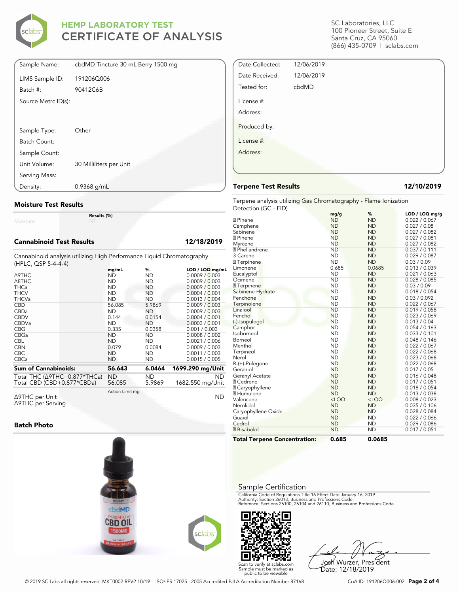

| Sample Name:        | cbdMD Tincture 30 mL Berry 1500 mg |
|---------------------|------------------------------------|
| LIMS Sample ID:     | 191206Q006                         |
| Batch #:            | 90412C6B                           |
| Source Metrc ID(s): |                                    |
|                     |                                    |
| Sample Type:        | Other                              |
| Batch Count:        |                                    |
| Sample Count:       |                                    |
| Unit Volume:        | 30 Milliliters per Unit            |
| Serving Mass:       |                                    |
| Density:            | $0.9368$ g/mL                      |

### **Moisture Test Results**

Moisture

### **Cannabinoid Test Results 12/18/2019**

Cannabinoid analysis utilizing High Performance Liquid Chromatography (HPLC, QSP 5-4-4-4)

**Results (%)**

|                                      | mg/mL           | %         | LOD / LOQ mg/mL  |
|--------------------------------------|-----------------|-----------|------------------|
| <b>A9THC</b>                         | <b>ND</b>       | <b>ND</b> | 0.0009 / 0.003   |
| $\triangle$ 8THC                     | <b>ND</b>       | <b>ND</b> | 0.0009 / 0.003   |
| <b>THCa</b>                          | <b>ND</b>       | <b>ND</b> | 0.0009 / 0.003   |
| <b>THCV</b>                          | <b>ND</b>       | <b>ND</b> | 0.0004 / 0.001   |
| <b>THCVa</b>                         | <b>ND</b>       | <b>ND</b> | 0.0013 / 0.004   |
| <b>CBD</b>                           | 56.085          | 5.9869    | 0.0009 / 0.003   |
| CBDa                                 | <b>ND</b>       | <b>ND</b> | 0.0009 / 0.003   |
| <b>CBDV</b>                          | 0.144           | 0.0154    | 0.0004/0.001     |
| <b>CBDVa</b>                         | <b>ND</b>       | <b>ND</b> | 0.0003 / 0.001   |
| <b>CBG</b>                           | 0.335           | 0.0358    | 0.001 / 0.003    |
| <b>CBGa</b>                          | <b>ND</b>       | <b>ND</b> | 0.0008 / 0.002   |
| <b>CBL</b>                           | <b>ND</b>       | <b>ND</b> | 0.0021 / 0.006   |
| <b>CBN</b>                           | 0.079           | 0.0084    | 0.0009 / 0.003   |
| <b>CBC</b>                           | <b>ND</b>       | <b>ND</b> | 0.0011 / 0.003   |
| <b>CBCa</b>                          | <b>ND</b>       | <b>ND</b> | 0.0015 / 0.005   |
| <b>Sum of Cannabinoids:</b>          | 56.643          | 6.0464    | 1699.290 mg/Unit |
|                                      |                 |           |                  |
| Total THC $(\Delta$ 9THC+0.877*THCa) | <b>ND</b>       | ND        | ND.              |
| Total CBD (CBD+0.877*CBDa)           | 56.085          | 5.9869    | 1682.550 mg/Unit |
|                                      | Action Limit mg |           |                  |
| Δ9THC per Unit                       |                 |           | <b>ND</b>        |

Δ9THC per Unit Δ9THC per Serving

### **Batch Photo**



SC Laboratories, LLC 100 Pioneer Street, Suite E Santa Cruz, CA 95060 (866) 435-0709 | sclabs.com

| Date Collected: | 12/06/2019 |  |
|-----------------|------------|--|
| Date Received:  | 12/06/2019 |  |
| Tested for:     | cbdMD      |  |
| License #:      |            |  |
| Address:        |            |  |
| Produced by:    |            |  |
| License #:      |            |  |
| Address:        |            |  |
|                 |            |  |

### **Terpene Test Results 12/10/2019**

Terpene analysis utilizing Gas Chromatography - Flame Ionization Detection (GC - FID)

|                                     | mg/g      | %         | LOD / LOQ mg/g |
|-------------------------------------|-----------|-----------|----------------|
| <b>7</b> Pinene                     | <b>ND</b> | <b>ND</b> | 0.022 / 0.067  |
| Camphene                            | <b>ND</b> | <b>ND</b> | 0.027 / 0.08   |
| Sabinene                            | <b>ND</b> | <b>ND</b> | 0.027 / 0.082  |
| <b>7</b> Pinene                     | <b>ND</b> | <b>ND</b> | 0.027 / 0.081  |
| Myrcene                             | <b>ND</b> | <b>ND</b> | 0.027 / 0.082  |
| <b>7</b> Phellandrene               | <b>ND</b> | <b>ND</b> | 0.037 / 0.111  |
| 3 Carene                            | <b>ND</b> | <b>ND</b> | 0.029 / 0.087  |
| <b>7</b> Terpinene                  | <b>ND</b> | <b>ND</b> | 0.03 / 0.09    |
| Limonene                            | 0.685     | 0.0685    | 0.013 / 0.039  |
| Eucalyptol                          | <b>ND</b> | <b>ND</b> | 0.021 / 0.063  |
| Ocimene                             | <b>ND</b> | <b>ND</b> | 0.028 / 0.085  |
| <b>7</b> Terpinene                  | <b>ND</b> | <b>ND</b> | 0.03 / 0.09    |
| Sabinene Hydrate                    | <b>ND</b> | <b>ND</b> | 0.018 / 0.054  |
| Fenchone                            | <b>ND</b> | <b>ND</b> | 0.03 / 0.092   |
| Terpinolene                         | <b>ND</b> | <b>ND</b> | 0.022 / 0.067  |
| Linalool                            | <b>ND</b> | <b>ND</b> | 0.019 / 0.058  |
| Fenchol                             | <b>ND</b> | <b>ND</b> | 0.023 / 0.069  |
| (-)-Isopulegol                      | <b>ND</b> | <b>ND</b> | 0.013 / 0.04   |
| Camphor                             | <b>ND</b> | <b>ND</b> | 0.054 / 0.163  |
| Isoborneol                          | <b>ND</b> | <b>ND</b> | 0.033 / 0.101  |
| Borneol                             | <b>ND</b> | <b>ND</b> | 0.048 / 0.146  |
| Menthol                             | <b>ND</b> | <b>ND</b> | 0.022 / 0.067  |
| Terpineol                           | <b>ND</b> | <b>ND</b> | 0.022 / 0.068  |
| Nerol                               | <b>ND</b> | <b>ND</b> | 0.023 / 0.068  |
| R-(+)-Pulegone                      | <b>ND</b> | <b>ND</b> | 0.022 / 0.068  |
| Geraniol                            | <b>ND</b> | <b>ND</b> | 0.017 / 0.05   |
| Geranyl Acetate                     | <b>ND</b> | <b>ND</b> | 0.016 / 0.048  |
| <b>7 Cedrene</b>                    | <b>ND</b> | <b>ND</b> | 0.017 / 0.051  |
| <b>7</b> Caryophyllene              | <b>ND</b> | <b>ND</b> | 0.018 / 0.054  |
| <b>7 Humulene</b>                   | <b>ND</b> | <b>ND</b> | 0.013 / 0.038  |
| Valencene                           | $<$ LOQ   | $<$ LOQ   | 0.008 / 0.023  |
| Nerolidol                           | <b>ND</b> | <b>ND</b> | 0.035 / 0.106  |
| Caryophyllene Oxide                 | <b>ND</b> | <b>ND</b> | 0.028 / 0.084  |
| Guaiol                              | <b>ND</b> | <b>ND</b> | 0.022 / 0.066  |
| Cedrol                              | <b>ND</b> | <b>ND</b> | 0.029 / 0.086  |
| <b>7</b> Bisabolol                  | <b>ND</b> | <b>ND</b> | 0.017 / 0.051  |
| <b>Total Terpene Concentration:</b> | 0.685     | 0.0685    |                |

### Sample Certification

California Code of Regulations Title 16 Effect Date January 16, 2019<br>Authority: Section 26013, Business and Professions Code.<br>Reference: Sections 26100, 26104 and 26110, Business and Professions Code.



Josh Wurzer, President Date: 12/18/2019

© 2019 SC Labs all rights reserved. MKT0002 REV2 10/19 ISO/IES 17025 : 2005 Accredited PJLA Accreditation Number 87168 CoA ID: 191206Q006-002 **Page 2 of 4**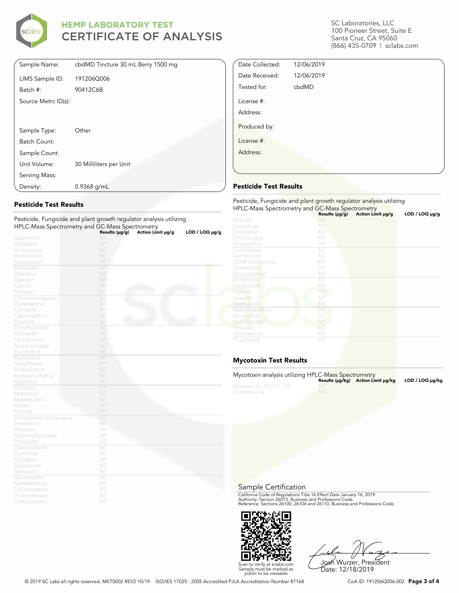

| Sample Name:        | cbdMD Tincture 30 mL Berry 1500 mg |
|---------------------|------------------------------------|
| LIMS Sample ID:     | 191206Q006                         |
| Batch #:            | 90412C6B                           |
| Source Metrc ID(s): |                                    |
|                     |                                    |
|                     |                                    |
| Sample Type:        | Other                              |
| Batch Count:        |                                    |
| Sample Count:       |                                    |
| Unit Volume:        | 30 Milliliters per Unit            |
| Serving Mass:       |                                    |
| Density:            | $0.9368$ g/mL                      |

### **Pesticide Test Results**

| Pesticide, Fungicide and plant growth regulator analysis utilizing |                |                   |                     |
|--------------------------------------------------------------------|----------------|-------------------|---------------------|
| HPLC-Mass Spectrometry and GC-Mass Spectrometry                    |                |                   |                     |
|                                                                    | Results (µg/g) | Action Limit µg/g | $LOD / LOQ \mu g/g$ |
| Abamectin                                                          | NT             |                   |                     |
| Acephate                                                           | NT             |                   |                     |
| Acequinocyl                                                        | NT             |                   |                     |
| Acetamiprid                                                        | NT             |                   |                     |
| Azoxystrobin                                                       | NT             |                   |                     |
| <b>Bifenazate</b>                                                  | NT             |                   |                     |
| <b>Bifenthrin</b>                                                  | NT             |                   |                     |
| <b>Boscalid</b>                                                    | NT             |                   |                     |
| Captan                                                             | NT             |                   |                     |
| Carbaryl                                                           | NT             |                   |                     |
| Chlorantraniliprole                                                | NT             |                   |                     |
| Clofentezine                                                       | NT             |                   |                     |
| Cyfluthrin                                                         | NT             |                   |                     |
| Cypermethrin                                                       | NT             |                   |                     |
| Diazinon                                                           | NT             |                   |                     |
| Dimethomorph                                                       | NT             |                   |                     |
| Etoxazole                                                          | NT             |                   |                     |
| Fenhexamid                                                         | NT             |                   |                     |
| Fenpyroximate                                                      | NT             |                   |                     |
| Flonicamid                                                         | NT             |                   |                     |
| Fludioxonil                                                        | NT             |                   |                     |
| Hexythiazox                                                        | NT             |                   |                     |
| Imidacloprid                                                       | NT             |                   |                     |
| Kresoxim-methyl                                                    | NT             |                   |                     |
| Malathion                                                          | NT             |                   |                     |
| Metalaxyl                                                          | NT             |                   |                     |
| Methomyl                                                           | NT             |                   |                     |
| Myclobutanil                                                       | NT             |                   |                     |
| Naled                                                              | NT             |                   |                     |
| Oxamyl                                                             | NT             |                   |                     |
| Pentachloronitrobenzene                                            | NT             |                   |                     |
| Permethrin                                                         | NT             |                   |                     |
| Phosmet                                                            | NT             |                   |                     |
| Piperonylbutoxide                                                  | NT             |                   |                     |
| Prallethrin                                                        | NT             |                   |                     |
| Propiconazole                                                      | NT             |                   |                     |
| Pyrethrins                                                         | NT             |                   |                     |
| Pyridaben                                                          | NT             |                   |                     |
| Spinetoram                                                         | NT             |                   |                     |
| Spinosad                                                           | NT             |                   |                     |
| Spiromesifen                                                       | NT             |                   |                     |
| Spirotetramat                                                      | NT             |                   |                     |
| Tebuconazole                                                       | NT             |                   |                     |
| Thiamethoxam                                                       | NT             |                   |                     |
| Trifloxystrobin                                                    | NT             |                   |                     |

SC Laboratories, LLC 100 Pioneer Street, Suite E Santa Cruz, CA 95060 (866) 435-0709 | sclabs.com

| Date Collected:        | 12/06/2019 |  |
|------------------------|------------|--|
| Date Received:         | 12/06/2019 |  |
| Tested for:            | cbdMD      |  |
| License #:<br>Address: |            |  |
| Produced by:           |            |  |
| License #:             |            |  |
| Address:               |            |  |
|                        |            |  |

### **Pesticide Test Results**

| Pesticide, Fungicide and plant growth regulator analysis utilizing<br>HPLC-Mass Spectrometry and GC-Mass Spectrometry |                     |                   |                     |  |
|-----------------------------------------------------------------------------------------------------------------------|---------------------|-------------------|---------------------|--|
|                                                                                                                       | Results $(\mu g/g)$ | Action Limit µg/g | $LOD / LOQ \mu g/g$ |  |
| Aldicarb                                                                                                              |                     |                   |                     |  |
| Carbofuran                                                                                                            | NT                  |                   |                     |  |
| Chlordane                                                                                                             | NT                  |                   |                     |  |
| Chlorfenapyr                                                                                                          | NT                  |                   |                     |  |
| Chlorpyrifos                                                                                                          | NT                  |                   |                     |  |
| Coumaphos                                                                                                             | NT                  |                   |                     |  |
| Daminozide                                                                                                            | NT                  |                   |                     |  |
| <b>DDVP</b> (Dichlorvos)                                                                                              | NT                  |                   |                     |  |
| Dimethoate                                                                                                            | NT                  |                   |                     |  |
| Ethoprop(hos)                                                                                                         | NT                  |                   |                     |  |
| Etofenprox                                                                                                            | NT                  |                   |                     |  |
| Fenoxycarb                                                                                                            | NT                  |                   |                     |  |
| Fipronil                                                                                                              | NT                  |                   |                     |  |
| Imazalil                                                                                                              | NT                  |                   |                     |  |
| Methiocarb                                                                                                            | NT                  |                   |                     |  |
| Methyl parathion                                                                                                      | NT                  |                   |                     |  |
| Mevinphos                                                                                                             | NT                  |                   |                     |  |
| Paclobutrazol                                                                                                         | NT                  |                   |                     |  |
| Propoxur                                                                                                              | NT                  |                   |                     |  |
| Spiroxamine                                                                                                           | NT                  |                   |                     |  |
| Thiacloprid                                                                                                           | NT                  |                   |                     |  |

### **Mycotoxin Test Results**

| Mycotoxin analysis utilizing HPLC-Mass Spectrometry |           | Results (µq/kq) Action Limit µq/kq | LOD / LOQ µq/kg |
|-----------------------------------------------------|-----------|------------------------------------|-----------------|
| Aflatoxin B1, B2, G1, G2<br>Ochratoxin A            | <b>NT</b> |                                    |                 |

Sample Certification

California Code of Regulations Title 16 Effect Date January 16, 2019<br>Authority: Section 26013, Business and Professions Code.<br>Reference: Sections 26100, 26104 and 26110, Business and Professions Code.



Josh Wurzer, President Date: 12/18/2019

© 2019 SC Labs all rights reserved. MKT0002 REV2 10/19 ISO/IES 17025 : 2005 Accredited PJLA Accreditation Number 87168 CoA ID: 191206Q006-002 **Page 3 of 4**